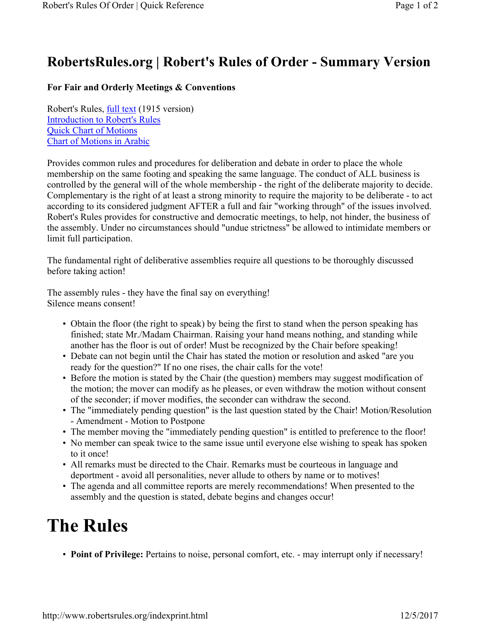## **RobertsRules.org | Robert's Rules of Order - Summary Version**

## **For Fair and Orderly Meetings & Conventions**

Robert's Rules, full text (1915 version) Introduction to Robert's Rules Quick Chart of Motions Chart of Motions in Arabic

Provides common rules and procedures for deliberation and debate in order to place the whole membership on the same footing and speaking the same language. The conduct of ALL business is controlled by the general will of the whole membership - the right of the deliberate majority to decide. Complementary is the right of at least a strong minority to require the majority to be deliberate - to act according to its considered judgment AFTER a full and fair "working through" of the issues involved. Robert's Rules provides for constructive and democratic meetings, to help, not hinder, the business of the assembly. Under no circumstances should "undue strictness" be allowed to intimidate members or limit full participation.

The fundamental right of deliberative assemblies require all questions to be thoroughly discussed before taking action!

The assembly rules - they have the final say on everything! Silence means consent!

- Obtain the floor (the right to speak) by being the first to stand when the person speaking has finished; state Mr./Madam Chairman. Raising your hand means nothing, and standing while another has the floor is out of order! Must be recognized by the Chair before speaking!
- Debate can not begin until the Chair has stated the motion or resolution and asked "are you ready for the question?" If no one rises, the chair calls for the vote!
- Before the motion is stated by the Chair (the question) members may suggest modification of the motion; the mover can modify as he pleases, or even withdraw the motion without consent of the seconder; if mover modifies, the seconder can withdraw the second.
- The "immediately pending question" is the last question stated by the Chair! Motion/Resolution - Amendment - Motion to Postpone
- The member moving the "immediately pending question" is entitled to preference to the floor!
- No member can speak twice to the same issue until everyone else wishing to speak has spoken to it once!
- All remarks must be directed to the Chair. Remarks must be courteous in language and deportment - avoid all personalities, never allude to others by name or to motives!
- The agenda and all committee reports are merely recommendations! When presented to the assembly and the question is stated, debate begins and changes occur!

## **The Rules**

• **Point of Privilege:** Pertains to noise, personal comfort, etc. - may interrupt only if necessary!